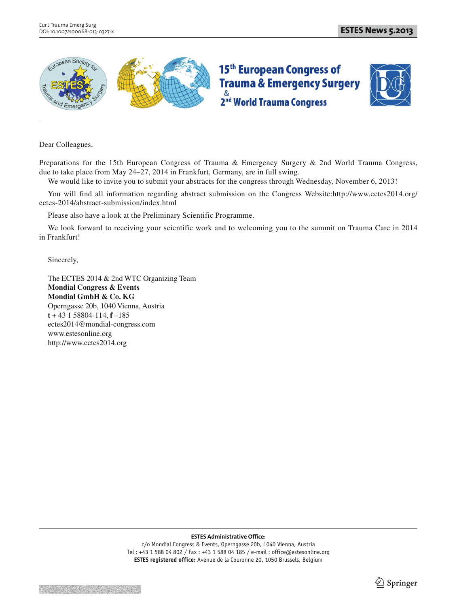



Dear Colleagues,

Preparations for the 15th European Congress of Trauma & Emergency Surgery & 2nd World Trauma Congress, due to take place from May 24–27, 2014 in Frankfurt, Germany, are in full swing.

We would like to invite you to submit your abstracts for the congress through Wednesday, November 6, 2013!

You will find all information regarding abstract submission on the Congress Website:http://www.ectes2014.org/ ectes-2014/abstract-submission/index.html

Please also have a look at the Preliminary Scientific Programme.

We look forward to receiving your scientific work and to welcoming you to the summit on Trauma Care in 2014 in Frankfurt!

Sincerely,

The ECTES 2014 & 2nd WTC Organizing Team **Mondial Congress & Events Mondial GmbH & Co. KG** Operngasse 20b, 1040 Vienna, Austria **t** + 43 1 58804-114, **f** –185 ectes2014@mondial-congress.com www.estesonline.org http://www.ectes2014.org

**ESTES Administrative Office:**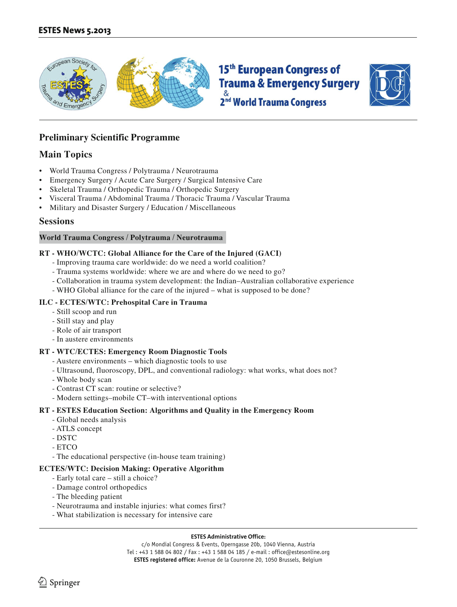



## **Preliminary Scientific Programme**

## **Main Topics**

- World Trauma Congress / Polytrauma / Neurotrauma
- Emergency Surgery / Acute Care Surgery / Surgical Intensive Care
- Skeletal Trauma / Orthopedic Trauma / Orthopedic Surgery
- Visceral Trauma / Abdominal Trauma / Thoracic Trauma / Vascular Trauma
- Military and Disaster Surgery / Education / Miscellaneous

### **Sessions**

#### **World Trauma Congress / Polytrauma / Neurotrauma**

#### **RT - WHO/WCTC: Global Alliance for the Care of the Injured (GACI)**

- Improving trauma care worldwide: do we need a world coalition?
- Trauma systems worldwide: where we are and where do we need to go?
- Collaboration in trauma system development: the Indian–Australian collaborative experience
- WHO Global alliance for the care of the injured what is supposed to be done?

#### **ILC - ECTES/WTC: Prehospital Care in Trauma**

- Still scoop and run
- Still stay and play
- Role of air transport
- In austere environments

#### **RT - WTC/ECTES: Emergency Room Diagnostic Tools**

- Austere environments which diagnostic tools to use
- Ultrasound, fluoroscopy, DPL, and conventional radiology: what works, what does not?
- Whole body scan
- Contrast CT scan: routine or selective?
- Modern settings–mobile CT–with interventional options

#### **RT - ESTES Education Section: Algorithms and Quality in the Emergency Room**

- Global needs analysis
- ATLS concept
- DSTC
- ETCO
- The educational perspective (in-house team training)

#### **ECTES/WTC: Decision Making: Operative Algorithm**

- Early total care still a choice?
- Damage control orthopedics
- The bleeding patient
- Neurotrauma and instable injuries: what comes first?
- What stabilization is necessary for intensive care

#### **ESTES Administrative Office:**

c/o Mondial Congress & Events, Operngasse 20b, 1040 Vienna, Austria Tel : +43 1 588 04 802 / Fax : +43 1 588 04 185 / e-mail : office@estesonline.org **ESTES registered office:** Avenue de la Couronne 20, 1050 Brussels, Belgium

Springer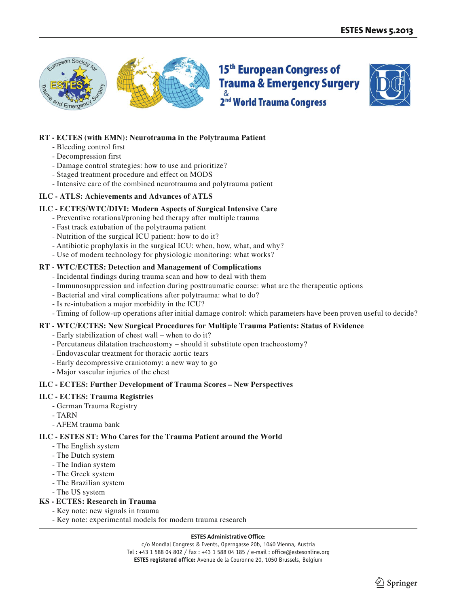



#### **RT - ECTES (with EMN): Neurotrauma in the Polytrauma Patient**

- Bleeding control first
- Decompression first
- Damage control strategies: how to use and prioritize?
- Staged treatment procedure and effect on MODS
- Intensive care of the combined neurotrauma and polytrauma patient

#### **ILC - ATLS: Achievements and Advances of ATLS**

#### **ILC - ECTES/WTC/DIVI: Modern Aspects of Surgical Intensive Care**

- Preventive rotational/proning bed therapy after multiple trauma
- Fast track extubation of the polytrauma patient
- Nutrition of the surgical ICU patient: how to do it?
- Antibiotic prophylaxis in the surgical ICU: when, how, what, and why?
- Use of modern technology for physiologic monitoring: what works?

#### **RT - WTC/ECTES: Detection and Management of Complications**

- Incidental findings during trauma scan and how to deal with them
- Immunosuppression and infection during posttraumatic course: what are the therapeutic options
- Bacterial and viral complications after polytrauma: what to do?
- Is re-intubation a major morbidity in the ICU?
- Timing of follow-up operations after initial damage control: which parameters have been proven useful to decide?

#### **RT - WTC/ECTES: New Surgical Procedures for Multiple Trauma Patients: Status of Evidence**

- Early stabilization of chest wall when to do it?
- Percutaneus dilatation tracheostomy should it substitute open tracheostomy?
- Endovascular treatment for thoracic aortic tears
- Early decompressive craniotomy: a new way to go
- Major vascular injuries of the chest

#### **ILC - ECTES: Further Development of Trauma Scores – New Perspectives**

#### **ILC - ECTES: Trauma Registries**

- German Trauma Registry
- TARN
- AFEM trauma bank

#### **ILC - ESTES ST: Who Cares for the Trauma Patient around the World**

- The English system
- The Dutch system
- The Indian system
- The Greek system
- The Brazilian system
- The US system

#### **KS - ECTES: Research in Trauma**

- Key note: new signals in trauma
- Key note: experimental models for modern trauma research

#### **ESTES Administrative Office:**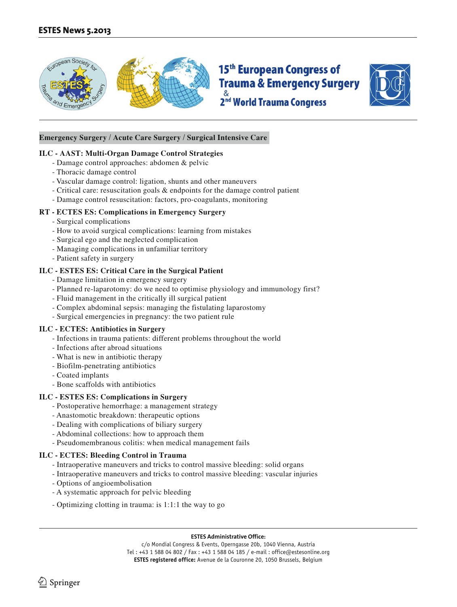



#### **Emergency Surgery / Acute Care Surgery / Surgical Intensive Care**

#### **ILC - AAST: Multi-Organ Damage Control Strategies**

- Damage control approaches: abdomen & pelvic
- Thoracic damage control
- Vascular damage control: ligation, shunts and other maneuvers
- Critical care: resuscitation goals & endpoints for the damage control patient
- Damage control resuscitation: factors, pro-coagulants, monitoring

#### **RT - ECTES ES: Complications in Emergency Surgery**

- Surgical complications
- How to avoid surgical complications: learning from mistakes
- Surgical ego and the neglected complication
- Managing complications in unfamiliar territory
- Patient safety in surgery

#### **ILC - ESTES ES: Critical Care in the Surgical Patient**

- Damage limitation in emergency surgery
- Planned re-laparotomy: do we need to optimise physiology and immunology first?
- Fluid management in the critically ill surgical patient
- Complex abdominal sepsis: managing the fistulating laparostomy
- Surgical emergencies in pregnancy: the two patient rule

#### **ILC - ECTES: Antibiotics in Surgery**

- Infections in trauma patients: different problems throughout the world
- Infections after abroad situations
- What is new in antibiotic therapy
- Biofilm-penetrating antibiotics
- Coated implants
- Bone scaffolds with antibiotics

#### **ILC - ESTES ES: Complications in Surgery**

- Postoperative hemorrhage: a management strategy
- Anastomotic breakdown: therapeutic options
- Dealing with complications of biliary surgery
- Abdominal collections: how to approach them
- Pseudomembranous colitis: when medical management fails

#### **ILC - ECTES: Bleeding Control in Trauma**

- Intraoperative maneuvers and tricks to control massive bleeding: solid organs
- Intraoperative maneuvers and tricks to control massive bleeding: vascular injuries
- Options of angioembolisation
- A systematic approach for pelvic bleeding
- Optimizing clotting in trauma: is 1:1:1 the way to go

#### **ESTES Administrative Office:**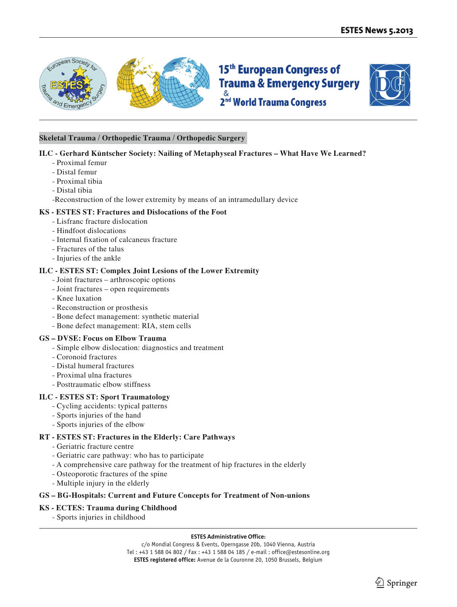



#### **Skeletal Trauma / Orthopedic Trauma / Orthopedic Surgery**

#### **ILC - Gerhard Küntscher Society: Nailing of Metaphyseal Fractures – What Have We Learned?**

- Proximal femur
- Distal femur
- Proximal tibia
- Distal tibia
- -Reconstruction of the lower extremity by means of an intramedullary device

#### **KS - ESTES ST: Fractures and Dislocations of the Foot**

- Lisfranc fracture dislocation
- Hindfoot dislocations
- Internal fixation of calcaneus fracture
- Fractures of the talus
- Injuries of the ankle

#### **ILC - ESTES ST: Complex Joint Lesions of the Lower Extremity**

- Joint fractures arthroscopic options
- Joint fractures open requirements
- Knee luxation
- Reconstruction or prosthesis
- Bone defect management: synthetic material
- Bone defect management: RIA, stem cells

#### **GS – DVSE: Focus on Elbow Trauma**

- Simple elbow dislocation: diagnostics and treatment
- Coronoid fractures
- Distal humeral fractures
- Proximal ulna fractures
- Posttraumatic elbow stiffness

#### **ILC - ESTES ST: Sport Traumatology**

- Cycling accidents: typical patterns
- Sports injuries of the hand
- Sports injuries of the elbow

#### **RT - ESTES ST: Fractures in the Elderly: Care Pathways**

- Geriatric fracture centre
- Geriatric care pathway: who has to participate
- A comprehensive care pathway for the treatment of hip fractures in the elderly
- Osteoporotic fractures of the spine
- Multiple injury in the elderly

#### **GS – BG-Hospitals: Current and Future Concepts for Treatment of Non-unions**

#### **KS - ECTES: Trauma during Childhood**

- Sports injuries in childhood

#### **ESTES Administrative Office:**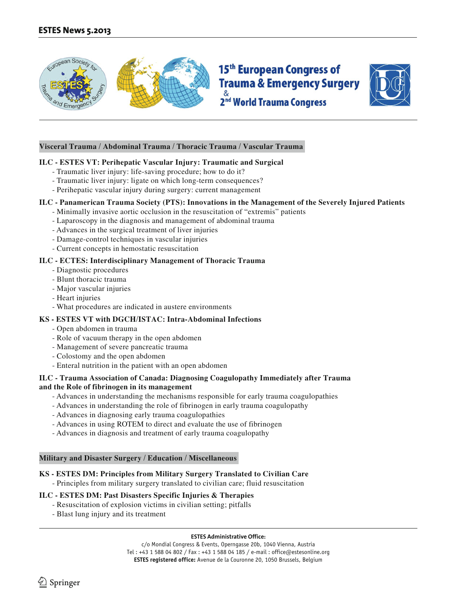



#### **Visceral Trauma / Abdominal Trauma / Thoracic Trauma / Vascular Trauma**

#### **ILC - ESTES VT: Perihepatic Vascular Injury: Traumatic and Surgical**

- Traumatic liver injury: life-saving procedure; how to do it?
- Traumatic liver injury: ligate on which long-term consequences?
- Perihepatic vascular injury during surgery: current management

#### **ILC - Panamerican Trauma Society (PTS): Innovations in the Management of the Severely Injured Patients**

- Minimally invasive aortic occlusion in the resuscitation of "extremis" patients
- Laparoscopy in the diagnosis and management of abdominal trauma
- Advances in the surgical treatment of liver injuries
- Damage-control techniques in vascular injuries
- Current concepts in hemostatic resuscitation

#### **ILC - ECTES: Interdisciplinary Management of Thoracic Trauma**

- Diagnostic procedures
- Blunt thoracic trauma
- Major vascular injuries
- Heart injuries
- What procedures are indicated in austere environments

#### **KS - ESTES VT with DGCH/ISTAC: Intra-Abdominal Infections**

- Open abdomen in trauma
- Role of vacuum therapy in the open abdomen
- Management of severe pancreatic trauma
- Colostomy and the open abdomen
- Enteral nutrition in the patient with an open abdomen

## **ILC - Trauma Association of Canada: Diagnosing Coagulopathy Immediately after Trauma**

#### **and the Role of fibrinogen in its management**

- Advances in understanding the mechanisms responsible for early trauma coagulopathies
- Advances in understanding the role of fibrinogen in early trauma coagulopathy
- Advances in diagnosing early trauma coagulopathies
- Advances in using ROTEM to direct and evaluate the use of fibrinogen
- Advances in diagnosis and treatment of early trauma coagulopathy

#### **Military and Disaster Surgery / Education / Miscellaneous**

#### **KS - ESTES DM: Principles from Military Surgery Translated to Civilian Care**

- Principles from military surgery translated to civilian care; fluid resuscitation

#### **ILC - ESTES DM: Past Disasters Specific Injuries & Therapies**

- Resuscitation of explosion victims in civilian setting; pitfalls
- Blast lung injury and its treatment

#### **ESTES Administrative Office:**

c/o Mondial Congress & Events, Operngasse 20b, 1040 Vienna, Austria Tel : +43 1 588 04 802 / Fax : +43 1 588 04 185 / e-mail : office@estesonline.org **ESTES registered office:** Avenue de la Couronne 20, 1050 Brussels, Belgium

l Springer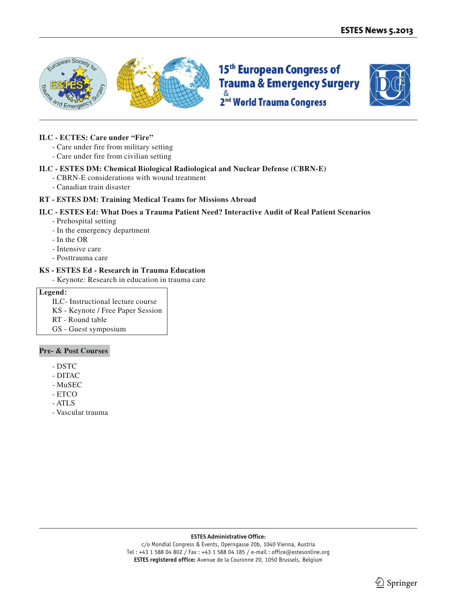



#### **ILC - ECTES: Care under "Fire"**

- Care under fire from military setting
- Care under fire from civilian setting

#### **ILC - ESTES DM: Chemical Biological Radiological and Nuclear Defense (CBRN-E)**

- CBRN-E considerations with wound treatment
- Canadian train disaster

#### **RT - ESTES DM: Training Medical Teams for Missions Abroad**

#### **ILC - ESTES Ed: What Does a Trauma Patient Need? Interactive Audit of Real Patient Scenarios**

- Prehospital setting
- In the emergency department
- In the OR
- Intensive care
- Posttrauma care

#### **KS - ESTES Ed - Research in Trauma Education**

- Keynote: Research in education in trauma care

#### **Legend:**

- ILC- Instructional lecture course
- KS Keynote / Free Paper Session
- RT Round table
- GS Guest symposium

#### **Pre- & Post Courses**

- DSTC
- DITAC
- MuSEC
- ETCO
- ATLS
- Vascular trauma

#### **ESTES Administrative Office:**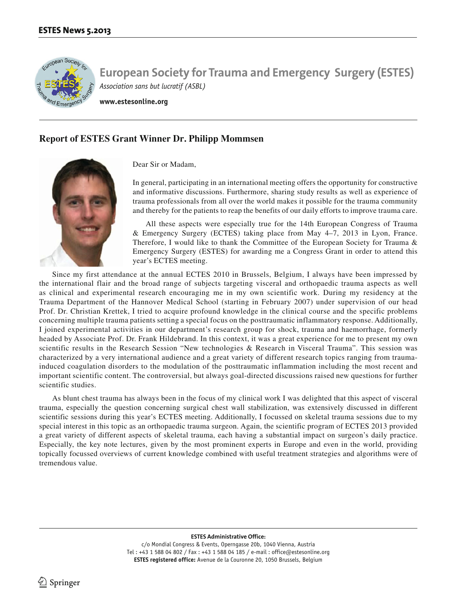

**www.estesonline.org**

## **Report of ESTES Grant Winner Dr. Philipp Mommsen**



Dear Sir or Madam,

In general, participating in an international meeting offers the opportunity for constructive and informative discussions. Furthermore, sharing study results as well as experience of trauma professionals from all over the world makes it possible for the trauma community and thereby for the patients to reap the benefits of our daily efforts to improve trauma care.

All these aspects were especially true for the 14th European Congress of Trauma & Emergency Surgery (ECTES) taking place from May 4–7, 2013 in Lyon, France. Therefore, I would like to thank the Committee of the European Society for Trauma & Emergency Surgery (ESTES) for awarding me a Congress Grant in order to attend this year's ECTES meeting.

Since my first attendance at the annual ECTES 2010 in Brussels, Belgium, I always have been impressed by the international flair and the broad range of subjects targeting visceral and orthopaedic trauma aspects as well as clinical and experimental research encouraging me in my own scientific work. During my residency at the Trauma Department of the Hannover Medical School (starting in February 2007) under supervision of our head Prof. Dr. Christian Krettek, I tried to acquire profound knowledge in the clinical course and the specific problems concerning multiple trauma patients setting a special focus on the posttraumatic inflammatory response. Additionally, I joined experimental activities in our department's research group for shock, trauma and haemorrhage, formerly headed by Associate Prof. Dr. Frank Hildebrand. In this context, it was a great experience for me to present my own scientific results in the Research Session "New technologies & Research in Visceral Trauma". This session was characterized by a very international audience and a great variety of different research topics ranging from traumainduced coagulation disorders to the modulation of the posttraumatic inflammation including the most recent and important scientific content. The controversial, but always goal-directed discussions raised new questions for further scientific studies.

As blunt chest trauma has always been in the focus of my clinical work I was delighted that this aspect of visceral trauma, especially the question concerning surgical chest wall stabilization, was extensively discussed in different scientific sessions during this year's ECTES meeting. Additionally, I focussed on skeletal trauma sessions due to my special interest in this topic as an orthopaedic trauma surgeon. Again, the scientific program of ECTES 2013 provided a great variety of different aspects of skeletal trauma, each having a substantial impact on surgeon's daily practice. Especially, the key note lectures, given by the most prominent experts in Europe and even in the world, providing topically focussed overviews of current knowledge combined with useful treatment strategies and algorithms were of tremendous value.

#### **ESTES Administrative Office:**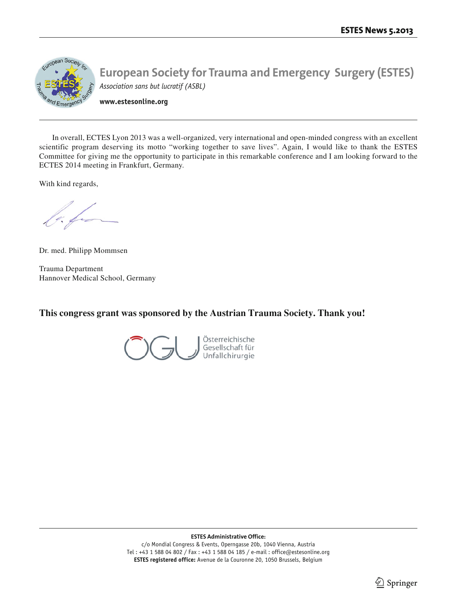

**www.estesonline.org**

In overall, ECTES Lyon 2013 was a well-organized, very international and open-minded congress with an excellent scientific program deserving its motto "working together to save lives". Again, I would like to thank the ESTES Committee for giving me the opportunity to participate in this remarkable conference and I am looking forward to the ECTES 2014 meeting in Frankfurt, Germany.

With kind regards,

o ho

Dr. med. Philipp Mommsen

Trauma Department Hannover Medical School, Germany

**This congress grant was sponsored by the Austrian Trauma Society. Thank you!**

Österreichische Gesellschaft für Unfallchirurgie

**ESTES Administrative Office:**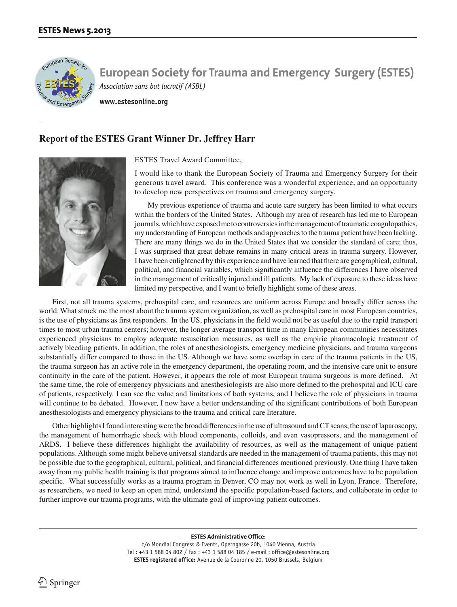

**www.estesonline.org**

## **Report of the ESTES Grant Winner Dr. Jeffrey Harr**



ESTES Travel Award Committee,

I would like to thank the European Society of Trauma and Emergency Surgery for their generous travel award. This conference was a wonderful experience, and an opportunity to develop new perspectives on trauma and emergency surgery.

My previous experience of trauma and acute care surgery has been limited to what occurs within the borders of the United States. Although my area of research has led me to European journals, which have exposed me to controversies in the management of traumatic coagulopathies, my understanding of European methods and approaches to the trauma patient have been lacking. There are many things we do in the United States that we consider the standard of care; thus, I was surprised that great debate remains in many critical areas in trauma surgery. However, I have been enlightened by this experience and have learned that there are geographical, cultural, political, and financial variables, which significantly influence the differences I have observed in the management of critically injured and ill patients. My lack of exposure to these ideas have limited my perspective, and I want to briefly highlight some of these areas.

First, not all trauma systems, prehospital care, and resources are uniform across Europe and broadly differ across the world. What struck me the most about the trauma system organization, as well as prehospital care in most European countries, is the use of physicians as first responders. In the US, physicians in the field would not be as useful due to the rapid transport times to most urban trauma centers; however, the longer average transport time in many European communities necessitates experienced physicians to employ adequate resuscitation measures, as well as the empiric pharmacologic treatment of actively bleeding patients. In addition, the roles of anesthesiologists, emergency medicine physicians, and trauma surgeons substantially differ compared to those in the US. Although we have some overlap in care of the trauma patients in the US, the trauma surgeon has an active role in the emergency department, the operating room, and the intensive care unit to ensure continuity in the care of the patient. However, it appears the role of most European trauma surgeons is more defined. At the same time, the role of emergency physicians and anesthesiologists are also more defined to the prehospital and ICU care of patients, respectively. I can see the value and limitations of both systems, and I believe the role of physicians in trauma will continue to be debated. However, I now have a better understanding of the significant contributions of both European anesthesiologists and emergency physicians to the trauma and critical care literature.

Other highlights I found interesting were the broad differences in the use of ultrasound and CT scans, the use of laparoscopy, the management of hemorrhagic shock with blood components, colloids, and even vasopressors, and the management of ARDS. I believe these differences highlight the availability of resources, as well as the management of unique patient populations. Although some might believe universal standards are needed in the management of trauma patients, this may not be possible due to the geographical, cultural, political, and financial differences mentioned previously. One thing I have taken away from my public health training is that programs aimed to influence change and improve outcomes have to be population specific. What successfully works as a trauma program in Denver, CO may not work as well in Lyon, France. Therefore, as researchers, we need to keep an open mind, understand the specific population-based factors, and collaborate in order to further improve our trauma programs, with the ultimate goal of improving patient outcomes.

**ESTES Administrative Office:**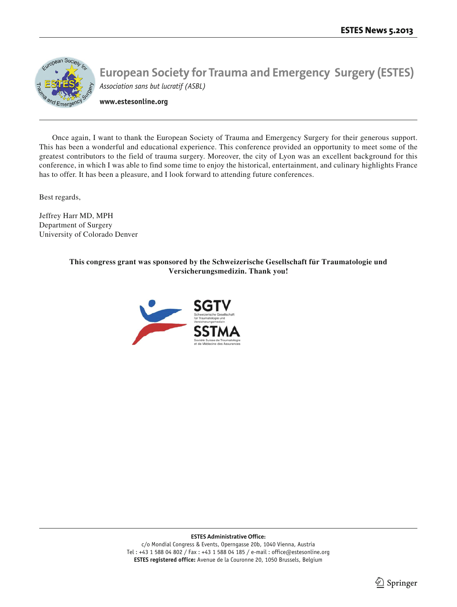

**www.estesonline.org**

Once again, I want to thank the European Society of Trauma and Emergency Surgery for their generous support. This has been a wonderful and educational experience. This conference provided an opportunity to meet some of the greatest contributors to the field of trauma surgery. Moreover, the city of Lyon was an excellent background for this conference, in which I was able to find some time to enjoy the historical, entertainment, and culinary highlights France has to offer. It has been a pleasure, and I look forward to attending future conferences.

Best regards,

Jeffrey Harr MD, MPH Department of Surgery University of Colorado Denver

> **This congress grant was sponsored by the Schweizerische Gesellschaft für Traumatologie und Versicherungsmedizin. Thank you!**



**ESTES Administrative Office:**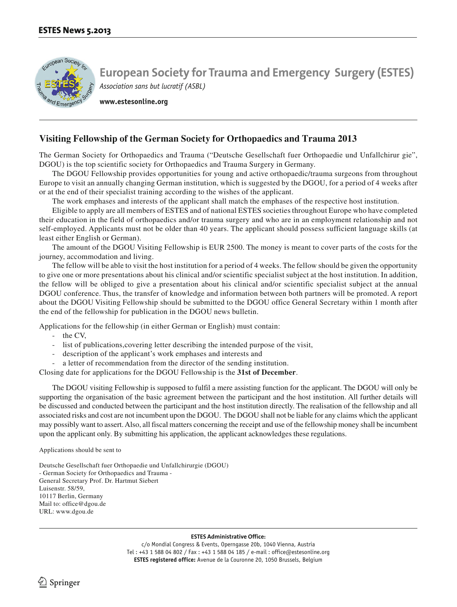

**www.estesonline.org**

### **Visiting Fellowship of the German Society for Orthopaedics and Trauma 2013**

The German Society for Orthopaedics and Trauma ("Deutsche Gesellschaft fuer Orthopaedie und Unfallchirur gie", DGOU) is the top scientific society for Orthopaedics and Trauma Surgery in Germany.

The DGOU Fellowship provides opportunities for young and active orthopaedic/trauma surgeons from throughout Europe to visit an annually changing German institution, which is suggested by the DGOU, for a period of 4 weeks after or at the end of their specialist training according to the wishes of the applicant.

The work emphases and interests of the applicant shall match the emphases of the respective host institution.

Eligible to apply are all members of ESTES and of national ESTES societies throughout Europe who have completed their education in the field of orthopaedics and/or trauma surgery and who are in an employment relationship and not self-employed. Applicants must not be older than 40 years. The applicant should possess sufficient language skills (at least either English or German).

The amount of the DGOU Visiting Fellowship is EUR 2500. The money is meant to cover parts of the costs for the journey, accommodation and living.

The fellow will be able to visit the host institution for a period of 4 weeks. The fellow should be given the opportunity to give one or more presentations about his clinical and/or scientific specialist subject at the host institution. In addition, the fellow will be obliged to give a presentation about his clinical and/or scientific specialist subject at the annual DGOU conference. Thus, the transfer of knowledge and information between both partners will be promoted. A report about the DGOU Visiting Fellowship should be submitted to the DGOU office General Secretary within 1 month after the end of the fellowship for publication in the DGOU news bulletin.

Applications for the fellowship (in either German or English) must contain:

- the CV,
- list of publications,covering letter describing the intended purpose of the visit,
- description of the applicant's work emphases and interests and
- a letter of recommendation from the director of the sending institution.

Closing date for applications for the DGOU Fellowship is the **31st of December**.

The DGOU visiting Fellowship is supposed to fulfil a mere assisting function for the applicant. The DGOU will only be supporting the organisation of the basic agreement between the participant and the host institution. All further details will be discussed and conducted between the participant and the host institution directly. The realisation of the fellowship and all associated risks and cost are not incumbent upon the DGOU. The DGOU shall not be liable for any claims which the applicant may possibly want to assert. Also, all fiscal matters concerning the receipt and use of the fellowship money shall be incumbent upon the applicant only. By submitting his application, the applicant acknowledges these regulations.

Applications should be sent to

Deutsche Gesellschaft fuer Orthopaedie und Unfallchirurgie (DGOU) - German Society for Orthopaedics and Trauma - General Secretary Prof. Dr. Hartmut Siebert Luisenstr. 58/59, 10117 Berlin, Germany Mail to: office@dgou.de URL: www.dgou.de

#### **ESTES Administrative Office:**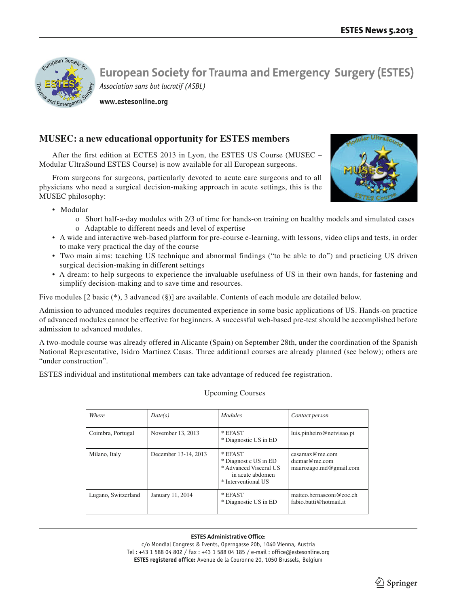

**www.estesonline.org**

## **MUSEC: a new educational opportunity for ESTES members**

After the first edition at ECTES 2013 in Lyon, the ESTES US Course (MUSEC – Modular UltraSound ESTES Course) is now available for all European surgeons.

From surgeons for surgeons, particularly devoted to acute care surgeons and to all physicians who need a surgical decision-making approach in acute settings, this is the MUSEC philosophy:



- Modular
	- o Short half-a-day modules with 2/3 of time for hands-on training on healthy models and simulated cases o Adaptable to different needs and level of expertise
- A wide and interactive web-based platform for pre-course e-learning, with lessons, video clips and tests, in order to make very practical the day of the course
- Two main aims: teaching US technique and abnormal findings ("to be able to do") and practicing US driven surgical decision-making in different settings
- A dream: to help surgeons to experience the invaluable usefulness of US in their own hands, for fastening and simplify decision-making and to save time and resources.

Five modules [2 basic (\*), 3 advanced (§)] are available. Contents of each module are detailed below.

Admission to advanced modules requires documented experience in some basic applications of US. Hands-on practice of advanced modules cannot be effective for beginners. A successful web-based pre-test should be accomplished before admission to advanced modules.

A two-module course was already offered in Alicante (Spain) on September 28th, under the coordination of the Spanish National Representative, Isidro Martinez Casas. Three additional courses are already planned (see below); others are "under construction".

ESTES individual and institutional members can take advantage of reduced fee registration.

| Where               | Date(s)              | <i>Modules</i>                                                                                        | Contact person                                            |
|---------------------|----------------------|-------------------------------------------------------------------------------------------------------|-----------------------------------------------------------|
| Coimbra, Portugal   | November 13, 2013    | $*$ EFAST<br>* Diagnostic US in ED                                                                    | luis.pinheiro@netvisao.pt                                 |
| Milano, Italy       | December 13-14, 2013 | * EFAST<br>* Diagnost c US in ED<br>* Advanced Visceral US<br>in acute abdomen<br>* Interventional US | casamax@me.com<br>diemar@me.com<br>maurozago.md@gmail.com |
| Lugano, Switzerland | January 11, 2014     | * EFAST<br>* Diagnostic US in ED                                                                      | matteo.bernasconi@eoc.ch<br>fabio.butti@hotmail.it        |

#### Upcoming Courses

#### **ESTES Administrative Office:**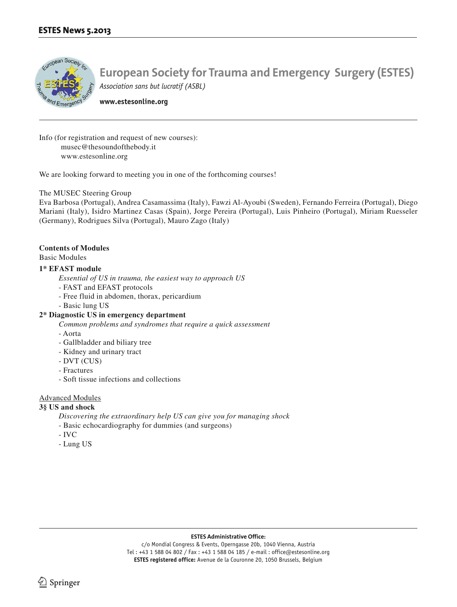

**www.estesonline.org**

Info (for registration and request of new courses): musec@thesoundofthebody.it www.estesonline.org

We are looking forward to meeting you in one of the forthcoming courses!

#### The MUSEC Steering Group

Eva Barbosa (Portugal), Andrea Casamassima (Italy), Fawzi Al-Ayoubi (Sweden), Fernando Ferreira (Portugal), Diego Mariani (Italy), Isidro Martinez Casas (Spain), Jorge Pereira (Portugal), Luis Pinheiro (Portugal), Miriam Ruesseler (Germany), Rodrigues Silva (Portugal), Mauro Zago (Italy)

#### **Contents of Modules**

Basic Modules

#### **1\* EFAST module**

*Essential of US in trauma, the easiest way to approach US*

- FAST and EFAST protocols
- Free fluid in abdomen, thorax, pericardium
- Basic lung US

#### **2\* Diagnostic US in emergency department**

*Common problems and syndromes that require a quick assessment*

- Aorta
- Gallbladder and biliary tree
- Kidney and urinary tract
- DVT (CUS)
- Fractures
- Soft tissue infections and collections

#### Advanced Modules

#### **3§ US and shock**

*Discovering the extraordinary help US can give you for managing shock*

- Basic echocardiography for dummies (and surgeons)
- IVC
- Lung US

#### **ESTES Administrative Office:**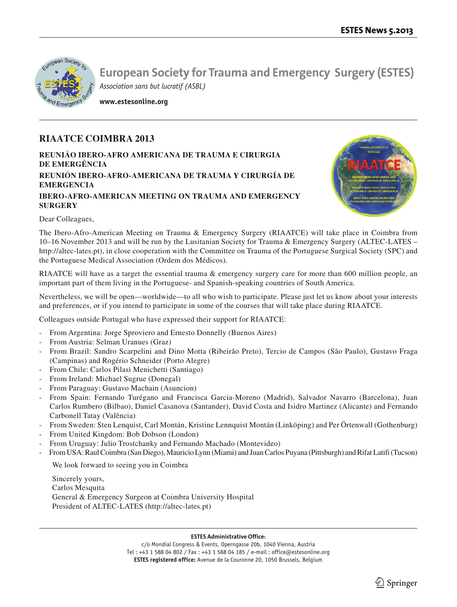

**www.estesonline.org**

## **RIAATCE COIMBRA 2013**

**REUNIÃO IBERO-AFRO AMERICANA DE TRAUMA E CIRURGIA DE EMERGÊNCIA REUNIÓN IBERO-AFRO-AMERICANA DE TRAUMA Y CIRURGÍA DE EMERGENCIA IBERO-AFRO-AMERICAN MEETING ON TRAUMA AND EMERGENCY SURGERY**



#### Dear Colleagues,

The Ibero-Afro-American Meeting on Trauma & Emergency Surgery (RIAATCE) will take place in Coimbra from 10–16 November 2013 and will be run by the Lusitanian Society for Trauma & Emergency Surgery (ALTEC-LATES – http://altec-lates.pt), in close cooperation with the Committee on Trauma of the Portuguese Surgical Society (SPC) and the Portuguese Medical Association (Ordem dos Médicos).

RIAATCE will have as a target the essential trauma & emergency surgery care for more than 600 million people, an important part of them living in the Portuguese- and Spanish-speaking countries of South America.

Nevertheless, we will be open—worldwide—to all who wish to participate. Please just let us know about your interests and preferences, or if you intend to participate in some of the courses that will take place during RIAATCE.

Colleagues outside Portugal who have expressed their support for RIAATCE:

- From Argentina: Jorge Sproviero and Ernesto Donnelly (Buenos Aires)
- From Austria: Selman Uranues (Graz)
- From Brazil: Sandro Scarpelini and Dino Motta (Ribeirão Preto), Tercio de Campos (São Paulo), Gustavo Fraga (Campinas) and Rogério Schneider (Porto Alegre)
- From Chile: Carlos Pilasi Menichetti (Santiago)
- From Ireland: Michael Sugrue (Donegal)
- From Paraguay: Gustavo Machain (Asuncion)
- From Spain: Fernando Turégano and Francisca Garcia-Moreno (Madrid), Salvador Navarro (Barcelona), Juan Carlos Rumbero (Bilbao), Daniel Casanova (Santander), David Costa and Isidro Martinez (Alicante) and Fernando Carbonell Tatay (Valência)
- From Sweden: Sten Lenquist, Carl Montán, Kristine Lennquist Montán (Linköping) and Per Örtenwall (Gothenburg)
- From United Kingdom: Bob Dobson (London)
- From Uruguay: Julio Trostchanky and Fernando Machado (Montevideo)

- From USA: Raul Coimbra (San Diego), Mauricio Lynn (Miami) and Juan Carlos Puyana (Pittsburgh) and Rifat Latifi (Tucson)

We look forward to seeing you in Coimbra

Sincerely yours, Carlos Mesquita General & Emergency Surgeon at Coimbra University Hospital President of ALTEC-LATES (http://altec-lates.pt)

#### **ESTES Administrative Office:**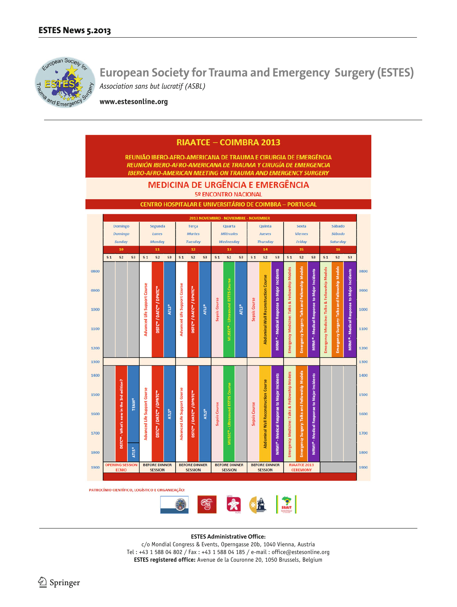

**www.estesonline.org**



**ESTES Administrative Office:**

c/o Mondial Congress & Events, Operngasse 20b, 1040 Vienna, Austria Tel : +43 1 588 04 802 / Fax : +43 1 588 04 185 / e-mail : office@estesonline.org **ESTES registered office:** Avenue de la Couronne 20, 1050 Brussels, Belgium

 $\textcircled{2}$  Springer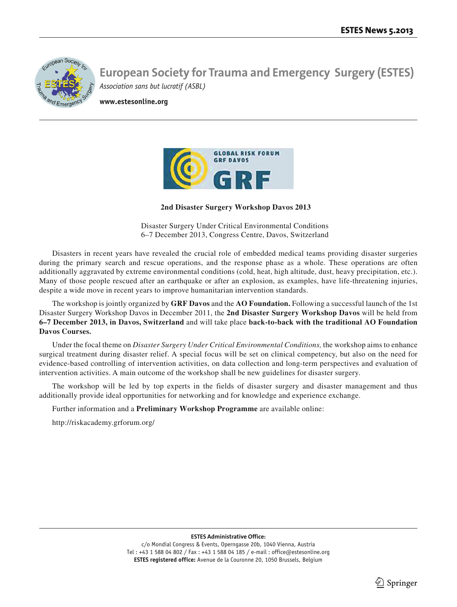

**www.estesonline.org**



 **2nd Disaster Surgery Workshop Davos 2013**

Disaster Surgery Under Critical Environmental Conditions 6–7 December 2013, Congress Centre, Davos, Switzerland

Disasters in recent years have revealed the crucial role of embedded medical teams providing disaster surgeries during the primary search and rescue operations, and the response phase as a whole. These operations are often additionally aggravated by extreme environmental conditions (cold, heat, high altitude, dust, heavy precipitation, etc.). Many of those people rescued after an earthquake or after an explosion, as examples, have life-threatening injuries, despite a wide move in recent years to improve humanitarian intervention standards.

The workshop is jointly organized by **GRF Davos** and the **AO Foundation.** Following a successful launch of the 1st Disaster Surgery Workshop Davos in December 2011, the **2nd Disaster Surgery Workshop Davos** will be held from **6–7 December 2013, in Davos, Switzerland** and will take place **back-to-back with the traditional AO Foundation Davos Courses.**

Under the focal theme on *Disaster Surgery Under Critical Environmental Conditions,* the workshop aims to enhance surgical treatment during disaster relief. A special focus will be set on clinical competency, but also on the need for evidence-based controlling of intervention activities, on data collection and long-term perspectives and evaluation of intervention activities. A main outcome of the workshop shall be new guidelines for disaster surgery.

The workshop will be led by top experts in the fields of disaster surgery and disaster management and thus additionally provide ideal opportunities for networking and for knowledge and experience exchange.

Further information and a **Preliminary Workshop Programme** are available online:

http://riskacademy.grforum.org/

#### **ESTES Administrative Office:**